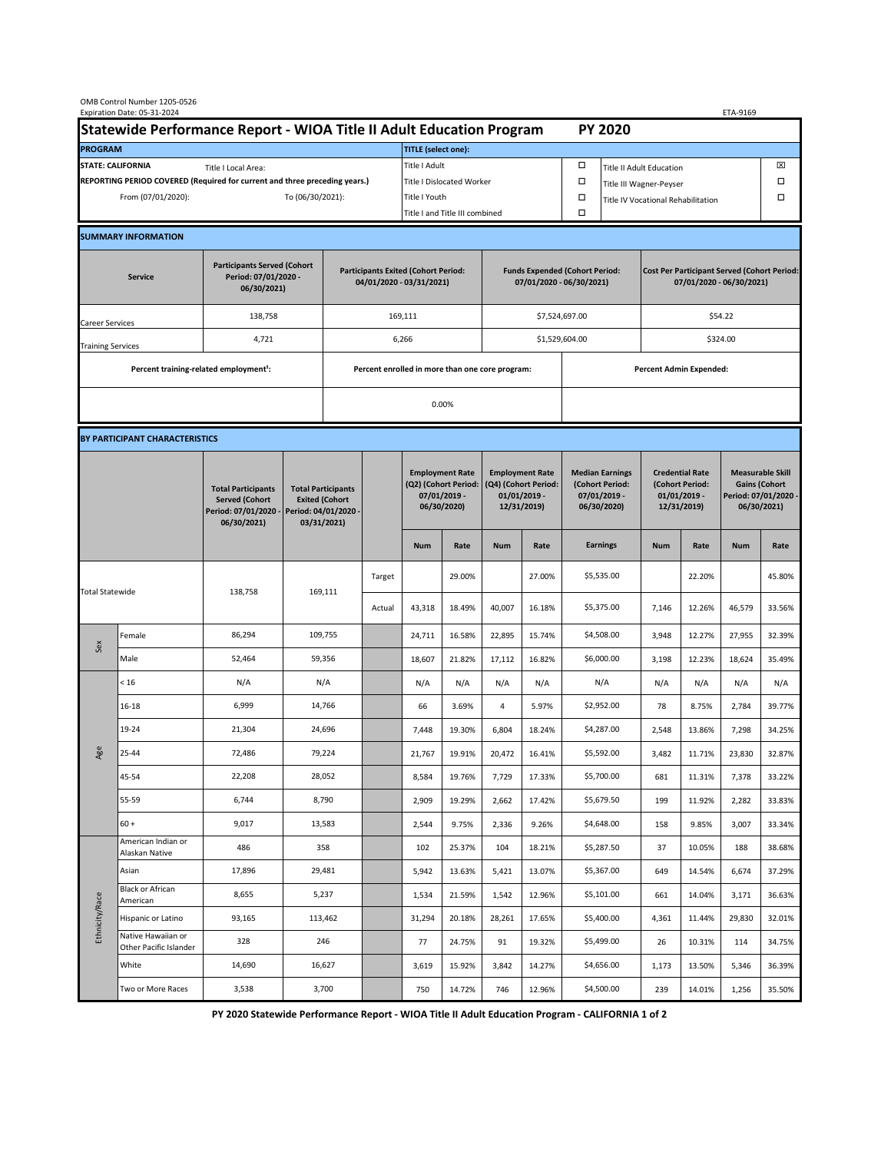| OMB Control Number 1205-0526<br>Expiration Date: 05-31-2024<br>ETA-9169                     |                                                    |                                                                                           |                                                                                           |                                                                        |                           |                                |                                                                               |                                                                                 |        |                                                                            |                                                                                |                                                                            |        |                                                                                        |        |  |
|---------------------------------------------------------------------------------------------|----------------------------------------------------|-------------------------------------------------------------------------------------------|-------------------------------------------------------------------------------------------|------------------------------------------------------------------------|---------------------------|--------------------------------|-------------------------------------------------------------------------------|---------------------------------------------------------------------------------|--------|----------------------------------------------------------------------------|--------------------------------------------------------------------------------|----------------------------------------------------------------------------|--------|----------------------------------------------------------------------------------------|--------|--|
| Statewide Performance Report - WIOA Title II Adult Education Program                        |                                                    |                                                                                           |                                                                                           |                                                                        |                           |                                |                                                                               |                                                                                 |        |                                                                            | <b>PY 2020</b>                                                                 |                                                                            |        |                                                                                        |        |  |
| <b>PROGRAM</b>                                                                              |                                                    |                                                                                           |                                                                                           |                                                                        |                           | <b>TITLE</b> (select one):     |                                                                               |                                                                                 |        |                                                                            |                                                                                |                                                                            |        |                                                                                        |        |  |
| <b>STATE: CALIFORNIA</b><br>Title I Local Area:                                             |                                                    |                                                                                           |                                                                                           |                                                                        |                           | Title I Adult                  |                                                                               |                                                                                 |        | □<br><b>Title II Adult Education</b>                                       |                                                                                |                                                                            |        |                                                                                        | ⊠      |  |
| REPORTING PERIOD COVERED (Required for current and three preceding years.)                  |                                                    |                                                                                           |                                                                                           |                                                                        | Title I Dislocated Worker |                                |                                                                               |                                                                                 |        | Ω                                                                          | Title III Wagner-Peyser                                                        |                                                                            |        |                                                                                        |        |  |
| From (07/01/2020):                                                                          |                                                    |                                                                                           |                                                                                           | To (06/30/2021):                                                       |                           |                                | Title I Youth                                                                 |                                                                                 |        | $\Box$                                                                     | Title IV Vocational Rehabilitation                                             |                                                                            |        |                                                                                        | □      |  |
|                                                                                             |                                                    |                                                                                           |                                                                                           |                                                                        |                           | Title I and Title III combined |                                                                               |                                                                                 |        | Ω                                                                          |                                                                                |                                                                            |        |                                                                                        |        |  |
|                                                                                             | <b>SUMMARY INFORMATION</b>                         |                                                                                           |                                                                                           |                                                                        |                           |                                |                                                                               |                                                                                 |        |                                                                            |                                                                                |                                                                            |        |                                                                                        |        |  |
| <b>Participants Served (Cohort</b><br>Period: 07/01/2020 -<br><b>Service</b><br>06/30/2021) |                                                    |                                                                                           |                                                                                           | <b>Participants Exited (Cohort Period:</b><br>04/01/2020 - 03/31/2021) |                           |                                |                                                                               | <b>Funds Expended (Cohort Period:</b><br>07/01/2020 - 06/30/2021)               |        |                                                                            | <b>Cost Per Participant Served (Cohort Period:</b><br>07/01/2020 - 06/30/2021) |                                                                            |        |                                                                                        |        |  |
| <b>Career Services</b>                                                                      |                                                    | 138,758                                                                                   |                                                                                           |                                                                        | 169,111                   |                                |                                                                               |                                                                                 |        | \$7,524,697.00                                                             |                                                                                | \$54.22                                                                    |        |                                                                                        |        |  |
| <b>Training Services</b>                                                                    |                                                    | 4,721                                                                                     |                                                                                           | 6,266                                                                  |                           |                                |                                                                               |                                                                                 |        | \$1,529,604.00                                                             |                                                                                | \$324.00                                                                   |        |                                                                                        |        |  |
|                                                                                             | Percent training-related employment <sup>1</sup> : |                                                                                           | Percent enrolled in more than one core program:                                           |                                                                        |                           |                                |                                                                               |                                                                                 |        | <b>Percent Admin Expended:</b>                                             |                                                                                |                                                                            |        |                                                                                        |        |  |
|                                                                                             |                                                    |                                                                                           |                                                                                           |                                                                        |                           |                                | 0.00%                                                                         |                                                                                 |        |                                                                            |                                                                                |                                                                            |        |                                                                                        |        |  |
|                                                                                             |                                                    |                                                                                           |                                                                                           |                                                                        |                           |                                |                                                                               |                                                                                 |        |                                                                            |                                                                                |                                                                            |        |                                                                                        |        |  |
|                                                                                             | BY PARTICIPANT CHARACTERISTICS                     |                                                                                           |                                                                                           |                                                                        |                           |                                |                                                                               |                                                                                 |        |                                                                            |                                                                                |                                                                            |        |                                                                                        |        |  |
|                                                                                             |                                                    | <b>Total Participants</b><br><b>Served (Cohort</b><br>Period: 07/01/2020 -<br>06/30/2021) | <b>Total Participants</b><br><b>Exited (Cohort</b><br>Period: 04/01/2020 -<br>03/31/2021) |                                                                        |                           |                                | <b>Employment Rate</b><br>(Q2) (Cohort Period:<br>07/01/2019 -<br>06/30/2020) | <b>Employment Rate</b><br>(Q4) (Cohort Period:<br>$01/01/2019$ -<br>12/31/2019) |        | <b>Median Earnings</b><br>(Cohort Period:<br>$07/01/2019 -$<br>06/30/2020) |                                                                                | <b>Credential Rate</b><br>(Cohort Period:<br>$01/01/2019$ -<br>12/31/2019) |        | <b>Measurable Skill</b><br><b>Gains (Cohort</b><br>Period: 07/01/2020 -<br>06/30/2021) |        |  |
|                                                                                             |                                                    |                                                                                           |                                                                                           |                                                                        |                           | <b>Num</b>                     | Rate                                                                          | <b>Num</b>                                                                      | Rate   |                                                                            | <b>Earnings</b>                                                                | <b>Num</b>                                                                 | Rate   | <b>Num</b>                                                                             | Rate   |  |
| <b>Total Statewide</b>                                                                      |                                                    |                                                                                           |                                                                                           |                                                                        | Target                    |                                | 29.00%                                                                        |                                                                                 | 27.00% |                                                                            | \$5,535.00                                                                     |                                                                            | 22.20% |                                                                                        | 45.80% |  |
|                                                                                             |                                                    | 138,758                                                                                   |                                                                                           | 169,111                                                                | Actual                    | 43,318                         | 18.49%                                                                        | 40,007                                                                          | 16.18% |                                                                            | \$5,375.00                                                                     | 7,146                                                                      | 12.26% | 46,579                                                                                 | 33.56% |  |
| Sex                                                                                         | Female                                             | 86,294                                                                                    | 109,755                                                                                   |                                                                        |                           | 24,711                         | 16.58%                                                                        | 22,895                                                                          | 15.74% |                                                                            | \$4,508.00                                                                     | 3,948                                                                      | 12.27% | 27,955                                                                                 | 32.39% |  |
|                                                                                             | Male                                               | 52,464                                                                                    | 59,356                                                                                    |                                                                        |                           | 18,607                         | 21.82%                                                                        | 17,112                                                                          | 16.82% |                                                                            | \$6,000.00                                                                     | 3,198                                                                      | 12.23% | 18,624                                                                                 | 35.49% |  |
| Age                                                                                         | < 16                                               | N/A                                                                                       | N/A                                                                                       |                                                                        |                           | N/A                            | N/A                                                                           | N/A                                                                             | N/A    |                                                                            | N/A                                                                            | N/A                                                                        | N/A    | N/A                                                                                    | N/A    |  |
|                                                                                             | 16-18                                              | 6,999                                                                                     | 14,766                                                                                    |                                                                        |                           | 66                             | 3.69%                                                                         | 4                                                                               | 5.97%  |                                                                            | \$2,952.00                                                                     | 78                                                                         | 8.75%  | 2,784                                                                                  | 39.77% |  |
|                                                                                             | 19-24                                              | 21,304                                                                                    | 24,696                                                                                    |                                                                        |                           | 7,448                          | 19.30%                                                                        | 6,804                                                                           | 18.24% |                                                                            | \$4,287.00                                                                     | 2,548                                                                      | 13.86% | 7,298                                                                                  | 34.25% |  |
|                                                                                             | 25-44                                              | 72,486                                                                                    | 79,224                                                                                    |                                                                        |                           | 21,767                         | 19.91%                                                                        | 20,472                                                                          | 16.41% |                                                                            | \$5,592.00                                                                     | 3,482                                                                      | 11.71% | 23,830                                                                                 | 32.87% |  |
|                                                                                             | 45-54                                              | 22,208                                                                                    | 28,052                                                                                    |                                                                        |                           | 8,584                          | 19.76%                                                                        | 7,729                                                                           | 17.33% |                                                                            | \$5,700.00                                                                     | 681                                                                        | 11.31% | 7,378                                                                                  | 33.22% |  |
|                                                                                             | 55-59                                              | 6,744                                                                                     | 8,790                                                                                     |                                                                        |                           | 2,909                          | 19.29%                                                                        | 2,662                                                                           | 17.42% |                                                                            | \$5,679.50                                                                     | 199                                                                        | 11.92% | 2,282                                                                                  | 33.83% |  |
|                                                                                             | $60 +$                                             | 9,017                                                                                     | 13,583                                                                                    |                                                                        |                           | 2,544                          | 9.75%                                                                         | 2,336                                                                           | 9.26%  |                                                                            | \$4,648.00                                                                     | 158                                                                        | 9.85%  | 3,007                                                                                  | 33.34% |  |
| Ethnicity/Race                                                                              | American Indian or<br>Alaskan Native               | 486                                                                                       | 358                                                                                       |                                                                        |                           | 102                            | 25.37%                                                                        | 104                                                                             | 18.21% |                                                                            | \$5,287.50                                                                     | 37                                                                         | 10.05% | 188                                                                                    | 38.68% |  |
|                                                                                             | Asian<br>Black or African                          | 17,896                                                                                    | 29,481                                                                                    |                                                                        |                           | 5,942                          | 13.63%                                                                        | 5,421                                                                           | 13.07% |                                                                            | \$5,367.00                                                                     | 649                                                                        | 14.54% | 6,674                                                                                  | 37.29% |  |
|                                                                                             | American                                           | 8,655                                                                                     | 5,237                                                                                     |                                                                        |                           | 1,534                          | 21.59%                                                                        | 1,542                                                                           | 12.96% |                                                                            | \$5,101.00                                                                     | 661                                                                        | 14.04% | 3,171                                                                                  | 36.63% |  |
|                                                                                             | Hispanic or Latino<br>Native Hawaiian or           | 93,165                                                                                    | 113,462                                                                                   |                                                                        |                           | 31,294                         | 20.18%                                                                        | 28,261                                                                          | 17.65% |                                                                            | \$5,400.00                                                                     | 4,361                                                                      | 11.44% | 29,830                                                                                 | 32.01% |  |
|                                                                                             | Other Pacific Islander                             | 328                                                                                       | 246                                                                                       |                                                                        |                           | 77                             | 24.75%                                                                        | 91                                                                              | 19.32% |                                                                            | \$5,499.00                                                                     | 26                                                                         | 10.31% | 114                                                                                    | 34.75% |  |
|                                                                                             | White                                              | 14,690                                                                                    | 16,627                                                                                    |                                                                        |                           | 3,619                          | 15.92%                                                                        | 3,842                                                                           | 14.27% |                                                                            | \$4,656.00                                                                     | 1,173                                                                      | 13.50% | 5,346                                                                                  | 36.39% |  |
|                                                                                             | Two or More Races                                  | 3,538                                                                                     | 3,700                                                                                     |                                                                        |                           | 750                            | 14.72%                                                                        | 746                                                                             | 12.96% |                                                                            | \$4,500.00                                                                     | 239                                                                        | 14.01% | 1,256                                                                                  | 35.50% |  |

 **PY 2020 Statewide Performance Report - WIOA Title II Adult Education Program - CALIFORNIA 1 of 2**